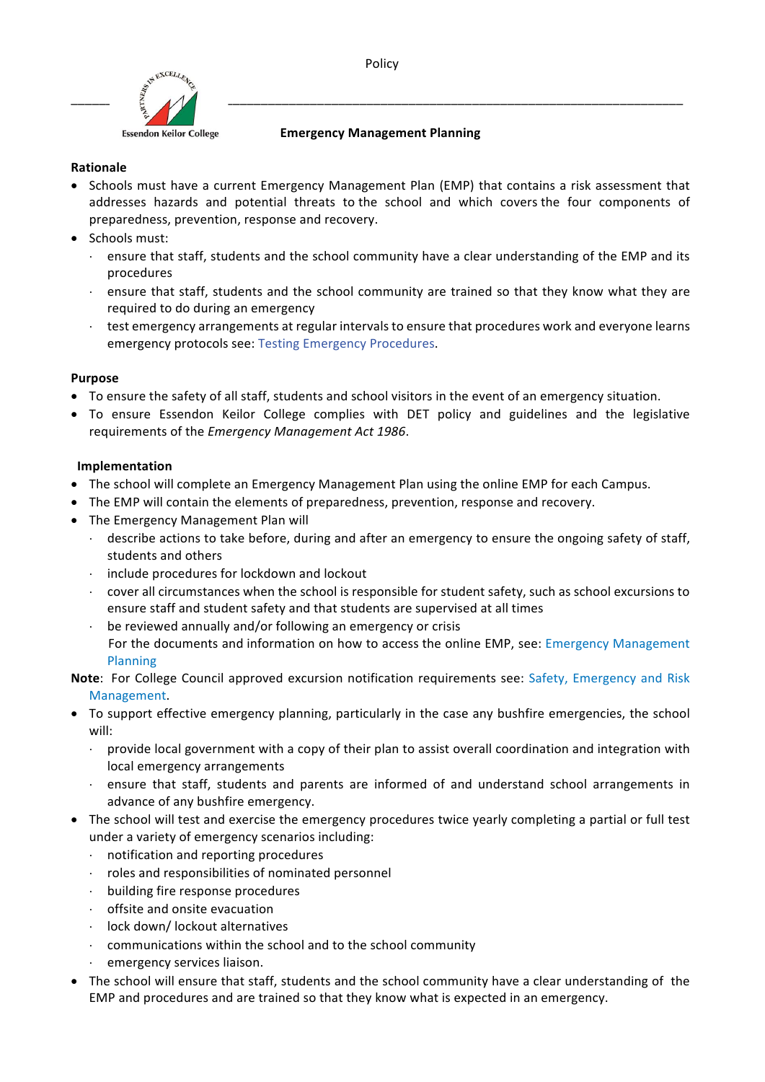



### **Emergency Management Planning**

### **Rationale**

- Schools must have a current Emergency Management Plan (EMP) that contains a risk assessment that addresses hazards and potential threats to the school and which covers the four components of preparedness, prevention, response and recovery.
- Schools must:
	- $\cdot$  ensure that staff, students and the school community have a clear understanding of the EMP and its procedures
	- $\cdot$  ensure that staff, students and the school community are trained so that they know what they are required to do during an emergency
	- $\cdot$  test emergency arrangements at regular intervals to ensure that procedures work and everyone learns emergency protocols see: Testing Emergency Procedures.

# **Purpose**

- To ensure the safety of all staff, students and school visitors in the event of an emergency situation.
- To ensure Essendon Keilor College complies with DET policy and guidelines and the legislative requirements of the *Emergency Management Act 1986*.

# **Implementation**

- The school will complete an Emergency Management Plan using the online EMP for each Campus.
- The EMP will contain the elements of preparedness, prevention, response and recovery.
- The Emergency Management Plan will
	- $\cdot$  describe actions to take before, during and after an emergency to ensure the ongoing safety of staff, students and others
	- $\cdot$  include procedures for lockdown and lockout
	- cover all circumstances when the school is responsible for student safety, such as school excursions to ensure staff and student safety and that students are supervised at all times
	- be reviewed annually and/or following an emergency or crisis
	- For the documents and information on how to access the online EMP, see: Emergency Management Planning
- **Note:** For College Council approved excursion notification requirements see: Safety, Emergency and Risk Management.
- To support effective emergency planning, particularly in the case any bushfire emergencies, the school will:
	- provide local government with a copy of their plan to assist overall coordination and integration with local emergency arrangements
	- ensure that staff, students and parents are informed of and understand school arrangements in advance of any bushfire emergency.
- The school will test and exercise the emergency procedures twice yearly completing a partial or full test under a variety of emergency scenarios including:
	- $\cdot$  notification and reporting procedures
	- $\cdot$  roles and responsibilities of nominated personnel
	- $\cdot$  building fire response procedures
	- offsite and onsite evacuation
	- · lock down/lockout alternatives
	- communications within the school and to the school community
	- emergency services liaison.
- The school will ensure that staff, students and the school community have a clear understanding of the EMP and procedures and are trained so that they know what is expected in an emergency.